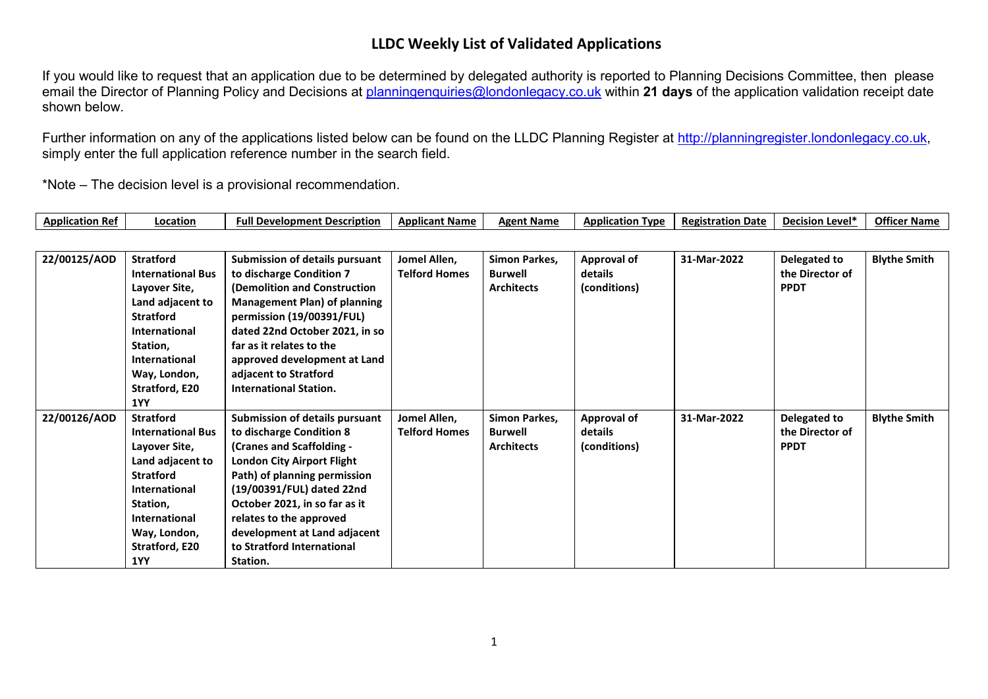If you would like to request that an application due to be determined by delegated authority is reported to Planning Decisions Committee, then please email the Director of Planning Policy and Decisions at [planningenquiries@londonlegacy.co.uk](mailto:planningenquiries@londonlegacy.co.uk) within **21 days** of the application validation receipt date shown below.

Further information on any of the applications listed below can be found on the LLDC Planning Register at [http://planningregister.londonlegacy.co.uk,](http://planningregister.londonlegacy.co.uk/) simply enter the full application reference number in the search field.

| Application<br>. Ref | 'ocation | Full Development Description | <b>Applicant Name</b> | <b>Agent Name</b> | <b>Application</b><br><b>TVD</b> | <b>Registration Date</b><br> | . Level*<br><b>Decision</b> | <b>Officer Name</b> |
|----------------------|----------|------------------------------|-----------------------|-------------------|----------------------------------|------------------------------|-----------------------------|---------------------|
|----------------------|----------|------------------------------|-----------------------|-------------------|----------------------------------|------------------------------|-----------------------------|---------------------|

| 22/00125/AOD | <b>Stratford</b><br><b>International Bus</b><br>Layover Site,<br>Land adjacent to<br><b>Stratford</b><br>International<br>Station,<br>International<br>Way, London,<br>Stratford, E20<br><b>1YY</b> | <b>Submission of details pursuant</b><br>to discharge Condition 7<br>(Demolition and Construction<br><b>Management Plan) of planning</b><br>permission (19/00391/FUL)<br>dated 22nd October 2021, in so<br>far as it relates to the<br>approved development at Land<br>adjacent to Stratford<br><b>International Station.</b>   | Jomel Allen,<br><b>Telford Homes</b> | Simon Parkes,<br>Burwell<br><b>Architects</b> | <b>Approval of</b><br>details<br>(conditions) | 31-Mar-2022 | Delegated to<br>the Director of<br><b>PPDT</b> | <b>Blythe Smith</b> |
|--------------|-----------------------------------------------------------------------------------------------------------------------------------------------------------------------------------------------------|---------------------------------------------------------------------------------------------------------------------------------------------------------------------------------------------------------------------------------------------------------------------------------------------------------------------------------|--------------------------------------|-----------------------------------------------|-----------------------------------------------|-------------|------------------------------------------------|---------------------|
| 22/00126/AOD | <b>Stratford</b><br><b>International Bus</b><br>Layover Site,<br>Land adjacent to<br><b>Stratford</b><br>International<br>Station,<br>International<br>Way, London,<br>Stratford, E20<br>1YY        | Submission of details pursuant<br>to discharge Condition 8<br>(Cranes and Scaffolding -<br><b>London City Airport Flight</b><br>Path) of planning permission<br>(19/00391/FUL) dated 22nd<br>October 2021, in so far as it<br>relates to the approved<br>development at Land adjacent<br>to Stratford International<br>Station. | Jomel Allen,<br><b>Telford Homes</b> | Simon Parkes,<br>Burwell<br><b>Architects</b> | <b>Approval of</b><br>details<br>(conditions) | 31-Mar-2022 | Delegated to<br>the Director of<br><b>PPDT</b> | <b>Blythe Smith</b> |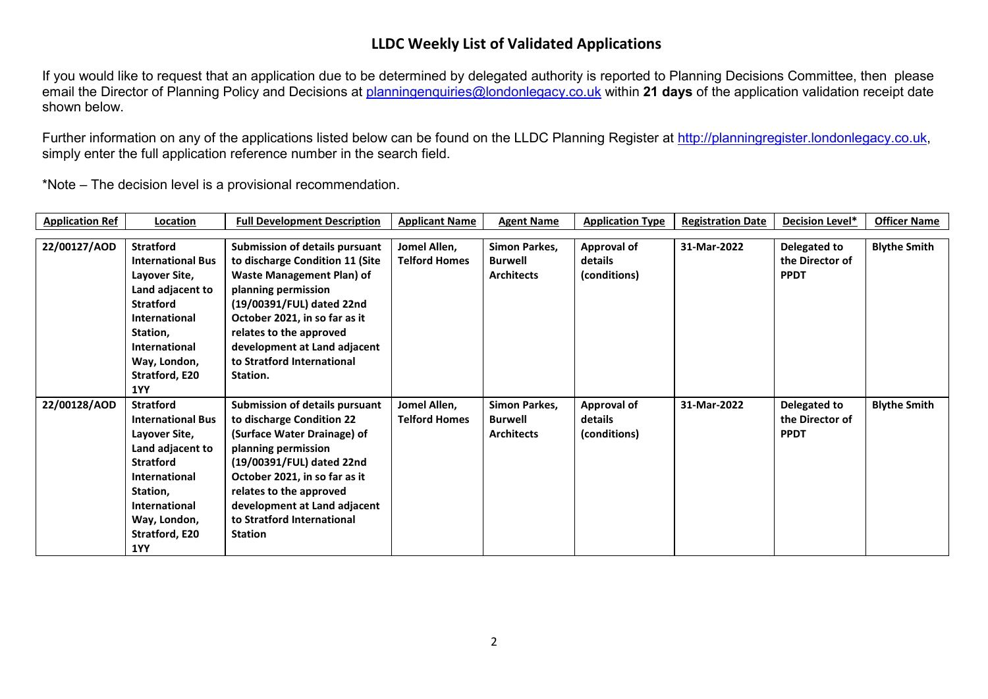If you would like to request that an application due to be determined by delegated authority is reported to Planning Decisions Committee, then please email the Director of Planning Policy and Decisions at [planningenquiries@londonlegacy.co.uk](mailto:planningenquiries@londonlegacy.co.uk) within **21 days** of the application validation receipt date shown below.

Further information on any of the applications listed below can be found on the LLDC Planning Register at [http://planningregister.londonlegacy.co.uk,](http://planningregister.londonlegacy.co.uk/) simply enter the full application reference number in the search field.

| <b>Application Ref</b> | Location                                                                                                                                                                                                   | <b>Full Development Description</b>                                                                                                                                                                                                                                                                    | <b>Applicant Name</b>                | <b>Agent Name</b>                                    | <b>Application Type</b>                | <b>Registration Date</b> | <b>Decision Level*</b>                         | <b>Officer Name</b> |
|------------------------|------------------------------------------------------------------------------------------------------------------------------------------------------------------------------------------------------------|--------------------------------------------------------------------------------------------------------------------------------------------------------------------------------------------------------------------------------------------------------------------------------------------------------|--------------------------------------|------------------------------------------------------|----------------------------------------|--------------------------|------------------------------------------------|---------------------|
|                        |                                                                                                                                                                                                            |                                                                                                                                                                                                                                                                                                        |                                      |                                                      |                                        |                          |                                                |                     |
| 22/00127/AOD           | <b>Stratford</b><br><b>International Bus</b><br>Layover Site,<br>Land adjacent to<br><b>Stratford</b><br><b>International</b><br>Station,<br><b>International</b><br>Way, London,<br>Stratford, E20<br>1YY | <b>Submission of details pursuant</b><br>to discharge Condition 11 (Site<br><b>Waste Management Plan) of</b><br>planning permission<br>(19/00391/FUL) dated 22nd<br>October 2021, in so far as it<br>relates to the approved<br>development at Land adjacent<br>to Stratford International<br>Station. | Jomel Allen,<br><b>Telford Homes</b> | Simon Parkes,<br>Burwell<br><b>Architects</b>        | Approval of<br>details<br>(conditions) | 31-Mar-2022              | Delegated to<br>the Director of<br><b>PPDT</b> | <b>Blythe Smith</b> |
| 22/00128/AOD           | <b>Stratford</b><br><b>International Bus</b><br>Layover Site,<br>Land adjacent to<br><b>Stratford</b><br><b>International</b><br>Station,<br><b>International</b><br>Way, London,<br>Stratford, E20<br>1YY | Submission of details pursuant<br>to discharge Condition 22<br>(Surface Water Drainage) of<br>planning permission<br>(19/00391/FUL) dated 22nd<br>October 2021, in so far as it<br>relates to the approved<br>development at Land adjacent<br>to Stratford International<br><b>Station</b>             | Jomel Allen,<br><b>Telford Homes</b> | Simon Parkes,<br><b>Burwell</b><br><b>Architects</b> | Approval of<br>details<br>(conditions) | 31-Mar-2022              | Delegated to<br>the Director of<br><b>PPDT</b> | <b>Blythe Smith</b> |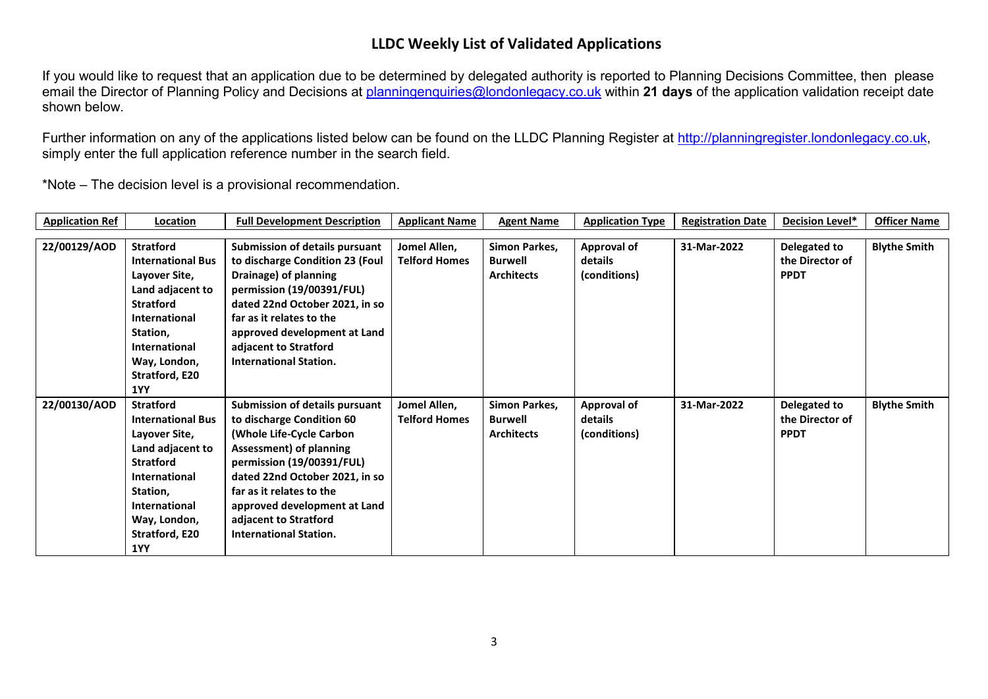If you would like to request that an application due to be determined by delegated authority is reported to Planning Decisions Committee, then please email the Director of Planning Policy and Decisions at [planningenquiries@londonlegacy.co.uk](mailto:planningenquiries@londonlegacy.co.uk) within **21 days** of the application validation receipt date shown below.

Further information on any of the applications listed below can be found on the LLDC Planning Register at [http://planningregister.londonlegacy.co.uk,](http://planningregister.londonlegacy.co.uk/) simply enter the full application reference number in the search field.

| <b>Application Ref</b> | Location                                                                                                                                                                                            | <b>Full Development Description</b>                                                                                                                                                                                                                                                                            | <b>Applicant Name</b>                | <b>Agent Name</b>                                    | <b>Application Type</b>                       | <b>Registration Date</b> | <b>Decision Level*</b>                         | <b>Officer Name</b> |
|------------------------|-----------------------------------------------------------------------------------------------------------------------------------------------------------------------------------------------------|----------------------------------------------------------------------------------------------------------------------------------------------------------------------------------------------------------------------------------------------------------------------------------------------------------------|--------------------------------------|------------------------------------------------------|-----------------------------------------------|--------------------------|------------------------------------------------|---------------------|
|                        |                                                                                                                                                                                                     |                                                                                                                                                                                                                                                                                                                |                                      |                                                      |                                               |                          |                                                |                     |
| 22/00129/AOD           | <b>Stratford</b><br><b>International Bus</b><br>Layover Site,<br>Land adjacent to<br><b>Stratford</b><br><b>International</b>                                                                       | <b>Submission of details pursuant</b><br>to discharge Condition 23 (Foul<br>Drainage) of planning<br>permission (19/00391/FUL)<br>dated 22nd October 2021, in so<br>far as it relates to the                                                                                                                   | Jomel Allen,<br><b>Telford Homes</b> | Simon Parkes,<br>Burwell<br><b>Architects</b>        | <b>Approval of</b><br>details<br>(conditions) | 31-Mar-2022              | Delegated to<br>the Director of<br><b>PPDT</b> | <b>Blythe Smith</b> |
|                        | Station,<br><b>International</b><br>Way, London,<br>Stratford, E20<br><b>1YY</b>                                                                                                                    | approved development at Land<br>adjacent to Stratford<br><b>International Station.</b>                                                                                                                                                                                                                         |                                      |                                                      |                                               |                          |                                                |                     |
| 22/00130/AOD           | <b>Stratford</b><br><b>International Bus</b><br>Layover Site,<br>Land adjacent to<br><b>Stratford</b><br><b>International</b><br>Station,<br>International<br>Way, London,<br>Stratford, E20<br>1YY | <b>Submission of details pursuant</b><br>to discharge Condition 60<br>(Whole Life-Cycle Carbon<br>Assessment) of planning<br>permission (19/00391/FUL)<br>dated 22nd October 2021, in so<br>far as it relates to the<br>approved development at Land<br>adjacent to Stratford<br><b>International Station.</b> | Jomel Allen,<br><b>Telford Homes</b> | Simon Parkes,<br><b>Burwell</b><br><b>Architects</b> | Approval of<br>details<br>(conditions)        | 31-Mar-2022              | Delegated to<br>the Director of<br><b>PPDT</b> | <b>Blythe Smith</b> |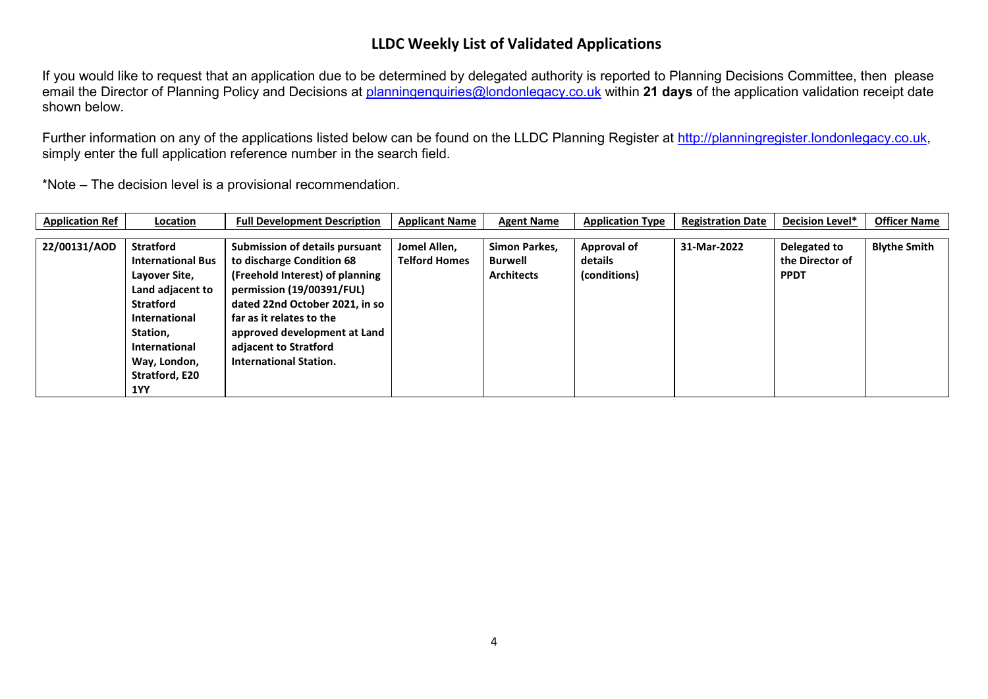If you would like to request that an application due to be determined by delegated authority is reported to Planning Decisions Committee, then please email the Director of Planning Policy and Decisions at [planningenquiries@londonlegacy.co.uk](mailto:planningenquiries@londonlegacy.co.uk) within **21 days** of the application validation receipt date shown below.

Further information on any of the applications listed below can be found on the LLDC Planning Register at [http://planningregister.londonlegacy.co.uk,](http://planningregister.londonlegacy.co.uk/) simply enter the full application reference number in the search field.

| <b>Application Ref</b> | Location                 | <b>Full Development Description</b> | <b>Applicant Name</b> | <b>Agent Name</b> | <b>Application Type</b> | <b>Registration Date</b> | Decision Level* | <b>Officer Name</b> |
|------------------------|--------------------------|-------------------------------------|-----------------------|-------------------|-------------------------|--------------------------|-----------------|---------------------|
|                        |                          |                                     |                       |                   |                         |                          |                 |                     |
| 22/00131/AOD           | <b>Stratford</b>         | Submission of details pursuant      | Jomel Allen,          | Simon Parkes,     | Approval of             | 31-Mar-2022              | Delegated to    | <b>Blythe Smith</b> |
|                        | <b>International Bus</b> | to discharge Condition 68           | <b>Telford Homes</b>  | Burwell           | details                 |                          | the Director of |                     |
|                        | Layover Site,            | (Freehold Interest) of planning     |                       | <b>Architects</b> | (conditions)            |                          | <b>PPDT</b>     |                     |
|                        | Land adjacent to         | permission (19/00391/FUL)           |                       |                   |                         |                          |                 |                     |
|                        | <b>Stratford</b>         | dated 22nd October 2021, in so      |                       |                   |                         |                          |                 |                     |
|                        | <b>International</b>     | far as it relates to the            |                       |                   |                         |                          |                 |                     |
|                        | Station,                 | approved development at Land        |                       |                   |                         |                          |                 |                     |
|                        | <b>International</b>     | adjacent to Stratford               |                       |                   |                         |                          |                 |                     |
|                        | Way, London,             | <b>International Station.</b>       |                       |                   |                         |                          |                 |                     |
|                        | Stratford, E20           |                                     |                       |                   |                         |                          |                 |                     |
|                        | 1YY                      |                                     |                       |                   |                         |                          |                 |                     |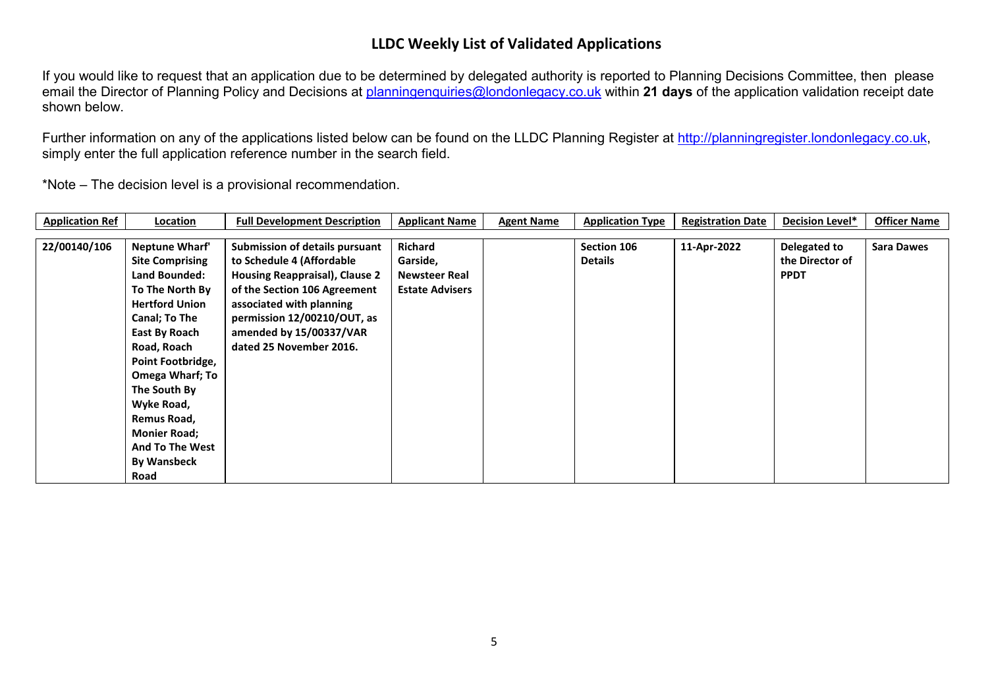If you would like to request that an application due to be determined by delegated authority is reported to Planning Decisions Committee, then please email the Director of Planning Policy and Decisions at [planningenquiries@londonlegacy.co.uk](mailto:planningenquiries@londonlegacy.co.uk) within **21 days** of the application validation receipt date shown below.

Further information on any of the applications listed below can be found on the LLDC Planning Register at [http://planningregister.londonlegacy.co.uk,](http://planningregister.londonlegacy.co.uk/) simply enter the full application reference number in the search field.

| <b>Application Ref</b> | Location               | <b>Full Development Description</b> | <b>Applicant Name</b>  | <b>Agent Name</b> | <b>Application Type</b> | <b>Registration Date</b> | <b>Decision Level*</b> | <b>Officer Name</b> |
|------------------------|------------------------|-------------------------------------|------------------------|-------------------|-------------------------|--------------------------|------------------------|---------------------|
|                        |                        |                                     |                        |                   |                         |                          |                        |                     |
| 22/00140/106           | Neptune Wharf'         | Submission of details pursuant      | <b>Richard</b>         |                   | Section 106             | 11-Apr-2022              | Delegated to           | <b>Sara Dawes</b>   |
|                        | <b>Site Comprising</b> | to Schedule 4 (Affordable           | Garside,               |                   | <b>Details</b>          |                          | the Director of        |                     |
|                        | Land Bounded:          | Housing Reappraisal), Clause 2      | <b>Newsteer Real</b>   |                   |                         |                          | <b>PPDT</b>            |                     |
|                        | To The North By        | of the Section 106 Agreement        | <b>Estate Advisers</b> |                   |                         |                          |                        |                     |
|                        | <b>Hertford Union</b>  | associated with planning            |                        |                   |                         |                          |                        |                     |
|                        | Canal; To The          | permission 12/00210/OUT, as         |                        |                   |                         |                          |                        |                     |
|                        | East By Roach          | amended by 15/00337/VAR             |                        |                   |                         |                          |                        |                     |
|                        | Road, Roach            | dated 25 November 2016.             |                        |                   |                         |                          |                        |                     |
|                        | Point Footbridge,      |                                     |                        |                   |                         |                          |                        |                     |
|                        | <b>Omega Wharf; To</b> |                                     |                        |                   |                         |                          |                        |                     |
|                        | The South By           |                                     |                        |                   |                         |                          |                        |                     |
|                        | Wyke Road,             |                                     |                        |                   |                         |                          |                        |                     |
|                        | Remus Road,            |                                     |                        |                   |                         |                          |                        |                     |
|                        | <b>Monier Road;</b>    |                                     |                        |                   |                         |                          |                        |                     |
|                        | <b>And To The West</b> |                                     |                        |                   |                         |                          |                        |                     |
|                        | <b>By Wansbeck</b>     |                                     |                        |                   |                         |                          |                        |                     |
|                        | Road                   |                                     |                        |                   |                         |                          |                        |                     |